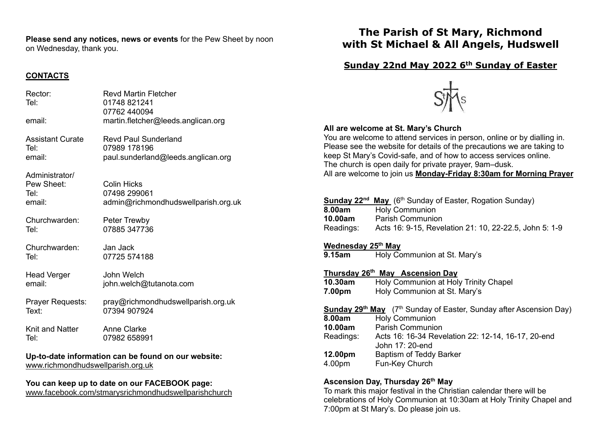**Please send any notices, news or events** for the Pew Sheet by noon on Wednesday, thank you.

## **CONTACTS**

| Rector:<br>Tel:                                                                          | <b>Revd Martin Fletcher</b><br>01748 821241<br>07762 440094               |
|------------------------------------------------------------------------------------------|---------------------------------------------------------------------------|
| email:                                                                                   | martin.fletcher@leeds.anglican.org                                        |
| <b>Assistant Curate</b>                                                                  | <b>Revd Paul Sunderland</b>                                               |
| Tel:                                                                                     | 07989 178196                                                              |
| email:                                                                                   | paul.sunderland@leeds.anglican.org                                        |
| Administrator/<br>Pew Sheet:<br>Tel:<br>email:                                           | <b>Colin Hicks</b><br>07498 299061<br>admin@richmondhudswellparish.org.uk |
| Churchwarden:                                                                            | Peter Trewby                                                              |
| Tel:                                                                                     | 07885 347736                                                              |
| Churchwarden:                                                                            | Jan Jack                                                                  |
| Tel:                                                                                     | 07725 574188                                                              |
| <b>Head Verger</b>                                                                       | John Welch                                                                |
| email:                                                                                   | john.welch@tutanota.com                                                   |
| Prayer Requests:                                                                         | pray@richmondhudswellparish.org.uk                                        |
| Text:                                                                                    | 07394 907924                                                              |
| Knit and Natter                                                                          | <b>Anne Clarke</b>                                                        |
| Tel:                                                                                     | 07982 658991                                                              |
| Up-to-date information can be found on our website:<br>www.richmondhudswellparish.org.uk |                                                                           |

## **You can keep up to date on our FACEBOOK page:**

[www.facebook.com/stmarysrichmondhudswellparishchurch](http://www.facebook.com/stmarysrichmondhudswellparishchurch)

# **The Parish of St Mary, Richmond with St Michael & All Angels, Hudswell**

## **Sunday 22nd May 2022 6th Sunday of Easter**



## **All are welcome at St. Mary's Church**

You are welcome to attend services in person, online or by dialling in. Please see the website for details of the precautions we are taking to keep St Mary's Covid-safe, and of how to access services online. The church is open daily for private prayer, 9am–dusk. All are welcome to join us **Monday-Friday 8:30am for Morning Prayer**

| 8.00am<br>10.00am<br>Readings:                                                                                                                               | <b>Sunday 22<sup>nd</sup> May</b> (6 <sup>th</sup> Sunday of Easter, Rogation Sunday)<br><b>Holy Communion</b><br><b>Parish Communion</b><br>Acts 16: 9-15, Revelation 21: 10, 22-22.5, John 5: 1-9 |  |
|--------------------------------------------------------------------------------------------------------------------------------------------------------------|-----------------------------------------------------------------------------------------------------------------------------------------------------------------------------------------------------|--|
| <b>Wednesday 25th May</b><br>Holy Communion at St. Mary's<br>9.15am                                                                                          |                                                                                                                                                                                                     |  |
| Thursday 26 <sup>th</sup> May Ascension Day<br>Holy Communion at Holy Trinity Chapel<br>10.30am<br>Holy Communion at St. Mary's                              |                                                                                                                                                                                                     |  |
| 7.00pm<br><b>Sunday 29th May</b> (7th Sunday of Easter, Sunday after Ascension Day)<br><b>Holy Communion</b><br>8.00am<br><b>Parish Communion</b><br>10.00am |                                                                                                                                                                                                     |  |

| Readings: | Acts 16: 16-34 Revelation 22: 12-14, 16-17, 20-end |
|-----------|----------------------------------------------------|
|           | John 17: 20-end                                    |
| 12.00pm   | Baptism of Teddy Barker                            |
| 4.00pm    | Fun-Key Church                                     |

### **Ascension Day, Thursday 26th May**

To mark this major festival in the Christian calendar there will be celebrations of Holy Communion at 10:30am at Holy Trinity Chapel and 7:00pm at St Mary's. Do please join us.